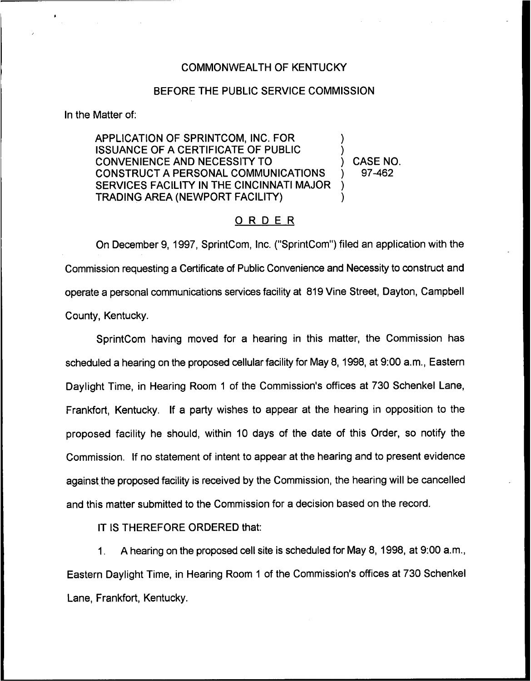## COMMONWEALTH OF KENTUCKY

## BEFORE THE PUBLIC SERVICE COMMISSION

In the Matter of:

APPLICATION OF SPRINTCOM, INC. FOR ISSUANCE OF A CERTIFICATE OF PUBLIC CONVENIENCE AND NECESSITY TO CONSTRUCT A PERSONAL COMMUNICATIONS SERVICES FACILITY IN THE CINCINNATI MAJOR TRADING AREA (NEWPORT FACILITY) ) ) ) )

) CASE NO. ) 97-462

## ORDER

On December 9, 1997, SprintCom, Inc. ("SprintCom") filed an application with the Commission requesting a Certificate of Public Convenience and Necessity to construct and operate a personal communications services facility at 819Vine Street, Dayton, Campbell County, Kentucky.

SprintCom having moved for a hearing in this matter, the Commission has scheduled a hearing on the proposed cellular facility for May 8, 1998, at 9:00 a.m., Eastern Daylight Time, in Hearing Room <sup>1</sup> of the Commission's offices at 730 Schenkel Lane, Frankfort, Kentucky. If a party wishes to appear at the hearing in opposition to the proposed facility he should, within 10 days of the date of this Order, so notify the Commission. If no statement of intent to appear at the hearing and to present evidence against the proposed facility is received by the Commission, the hearing will be cancelled and this matter submitted to the Commission for a decision based on the record,

IT IS THEREFORE ORDERED that:

A hearing on the proposed cell site is scheduled for May 8, 1998, at 9:00 a.m.,  $\mathbf 1$ . Eastern Daylight Time, in Hearing Room <sup>1</sup> of the Commission's offices at 730 Schenkel Lane, Frankfort, Kentucky.